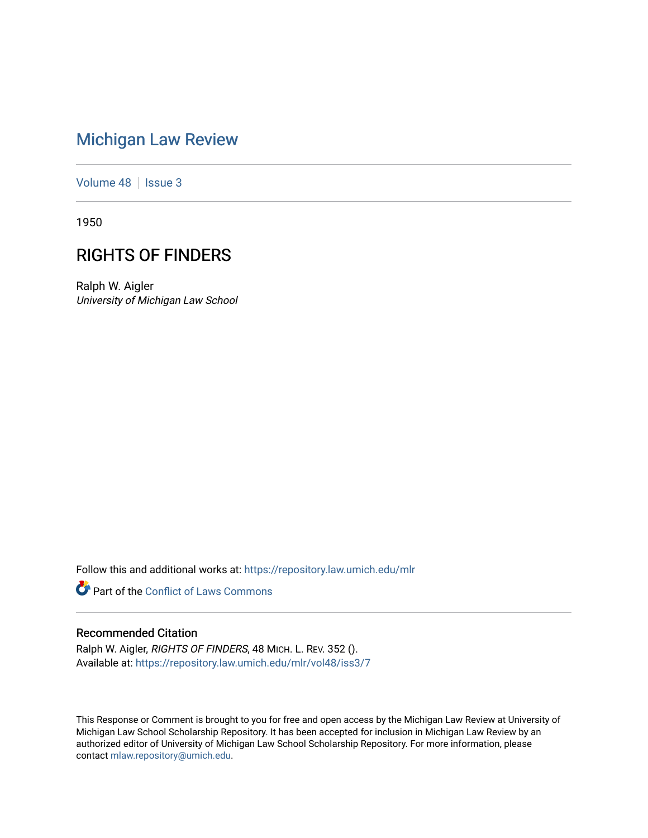# [Michigan Law Review](https://repository.law.umich.edu/mlr)

[Volume 48](https://repository.law.umich.edu/mlr/vol48) | [Issue 3](https://repository.law.umich.edu/mlr/vol48/iss3)

1950

## RIGHTS OF FINDERS

Ralph W. Aigler University of Michigan Law School

Follow this and additional works at: [https://repository.law.umich.edu/mlr](https://repository.law.umich.edu/mlr?utm_source=repository.law.umich.edu%2Fmlr%2Fvol48%2Fiss3%2F7&utm_medium=PDF&utm_campaign=PDFCoverPages) 

**Part of the Conflict of Laws Commons** 

#### Recommended Citation

Ralph W. Aigler, RIGHTS OF FINDERS, 48 MICH. L. REV. 352 (). Available at: [https://repository.law.umich.edu/mlr/vol48/iss3/7](https://repository.law.umich.edu/mlr/vol48/iss3/7?utm_source=repository.law.umich.edu%2Fmlr%2Fvol48%2Fiss3%2F7&utm_medium=PDF&utm_campaign=PDFCoverPages)

This Response or Comment is brought to you for free and open access by the Michigan Law Review at University of Michigan Law School Scholarship Repository. It has been accepted for inclusion in Michigan Law Review by an authorized editor of University of Michigan Law School Scholarship Repository. For more information, please contact [mlaw.repository@umich.edu](mailto:mlaw.repository@umich.edu).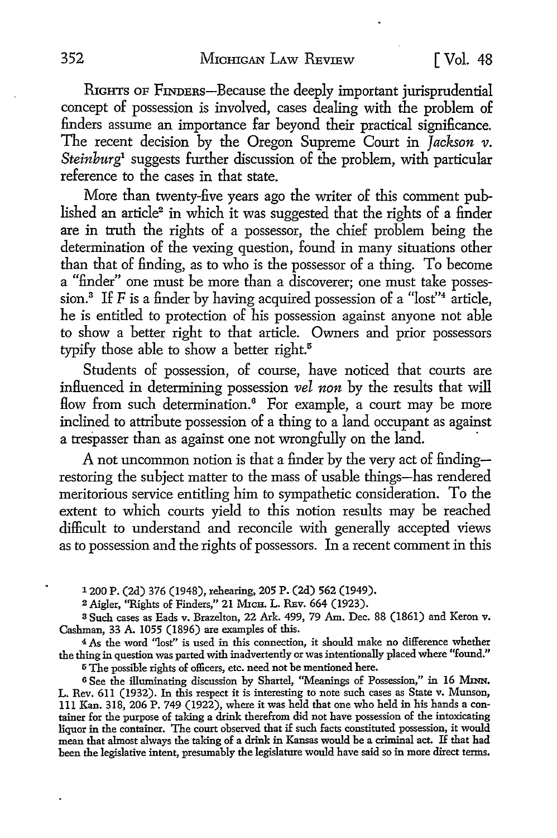RIGHTS OF FINDERS-Because the deeply important jurisprudential concept of possession is involved, cases dealing with the problem of finders assume an importance far beyond their practical significance. The recent decision by the Oregon Supreme Court in *Jackson v. Steinburg*<sup>1</sup> suggests further discussion of the problem, with particular reference to the cases in that state.

More than twenty-five years ago the writer of this comment published an article<sup>2</sup> in which it was suggested that the rights of a finder are in truth the rights of a possessor, the chief problem being the determination of the vexing question, found in many situations other than that of finding, as to who is the possessor of a thing. To become a "finder" one must be more than a discoverer; one must take possession.<sup>3</sup> If F is a finder by having acquired possession of a "lost"<sup>4</sup> article, he is entitled to protection of his possession against anyone not able to show a better right to that article. Owners and prior possessors typify those able to show a better right.<sup>5</sup>

Students of possession, of course, have noticed that courts are influenced in determining possession *vel non* by the results that will flow from such determination.<sup>6</sup> For example, a court may be more inclined to attribute possession of a thing to a land occupant as against a trespasser than as against one not wrongfully on the land.

A not uncommon notion is that a finder by the very act of findingrestoring the subject matter to the mass of usable things-has rendered meritorious service entitling him to sympathetic consideration. To the extent to which courts yield to this notion results may be reached difficult to understand and reconcile with generally accepted views as to possession and the rights of possessors. In a recent comment in this

1200 P. (2d) 376 (1948), rehearing, 205 P. (2d) 562 (1949).

<sup>2</sup>Aigler, ''Rights of Finders," 21 Mica. L. REv. 664 (1923).

<sup>3</sup>Such cases as Eads v. Brazelton, 22 Ark. 499, 79 Am. Dec. 88 (1861) and Keron v. Cashman, 33 A. 1055 (1896) are examples of this.

<sup>4</sup>*As* the word ''lost" is used in this connection, it should make no difference whether the thing in question was parted with inadvertently or was intentionally placed where "found."

<sup>5</sup>The possible rights of officers, etc. need not be mentioned here.

<sup>6</sup>See the illuminating discussion by Shartel, "Meanings of Possession," in 16 MmN. L. Rev. 611 (1932). In this respect it is interesting to note such cases as State v. Munson, 111 Kan. 318, 206 P. 749 (1922), where it was held that one who held in his hands a container for the purpose of taking a drink therefrom did not have possession of the intoxicating liquor in the container. The court observed that if such facts constituted possession, it would mean that almost always the taking of a drink in Kansas would be a criminal act. H that had been the legislative intent, presumably the legislature would have said so in more direct terms.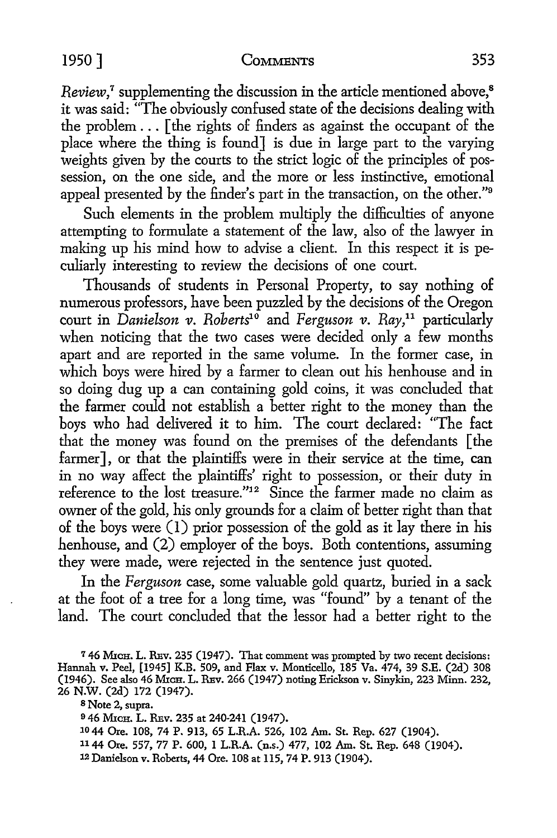#### 1950 ] COMMENTS 353

*Review*,<sup>7</sup> supplementing the discussion in the article mentioned above,<sup>8</sup> it was said: "The obviously confused state of the decisions dealing with the problem ... [ the rights of finders as against the occupant of the place where the thing is found] is due in large part to the varying weights given by the courts to the strict logic of the principles of possession, on the one side, and the more or less instinctive, emotional appeal presented by the finder's part in the transaction, on the other."<sup>9</sup>

Such elements in the problem multiply the difficulties of anyone attempting to formulate a statement of the law, also of the lawyer in making up his mind how to advise a client. In this respect it is peculiarly interesting to review the decisions of one court.

Thousands of students in Personal Property, to say nothing of numerous professors, have been puzzled by the decisions of the Oregon court in *Danielson v. Roherts1°* and *Ferguson v. Ray,11* particularly when noticing that the two cases were decided only a few months apart and are reported in the same volume. In the former case, in which boys were hired by a farmer to clean out his henhouse and in so doing dug up a can containing gold coins, it was concluded that the farmer could not establish a better right to the money than the boys who had delivered it to him. The court declared: "The fact that the money was found on the premises of the defendants [ the farmer], or that the plaintiffs were in their service at the time, can in no way affect the plaintiffs' right to possession, or their duty in reference to the lost treasure."12 Since the farmer made no claim as owner of the gold, his only grounds for a claim of better right than that of the boys were (I) prior possession of the gold as it lay there in his henhouse, and (2) employer of the boys. Both contentions, assuming they were made, were rejected in the sentence just quoted.

In the *Ferguson* case, some valuable gold quartz, buried in a sack at the foot of a tree for a long time, was "found" by a tenant of the land. The court concluded that the lessor had a better right to the

<sup>7</sup> 46 MICH. L. REV. 235 (1947). That comment was prompted by two recent decisions: Hannah v. Peel, [1945] K.B. 509, and Flax v. Monticello, 185 Va. 474, 39 S.E. (2d) 308 (1946). See also 46 MICH. L. REV. 266 (1947) noting Erickson v. Sinykin, 223 Minn. 232, 26 N.W. (2d) 172 (1947).

8 Note 2, supra.

9 46 MICH. L. REV. 235 at 240-241 (1947).

10 44 Ore. 108, 74 P. 913, 65 LR.A. 526, 102 Am. St. Rep. 627 (1904).

1144 Ore. 557, 77 P. 600, I LR.A. (n.s.) 477, 102 Am. St. Rep. 648 (1904).

12 Danielson v. Roberts, 44 Ore. 108 at ll5, 74 P. 913 (1904).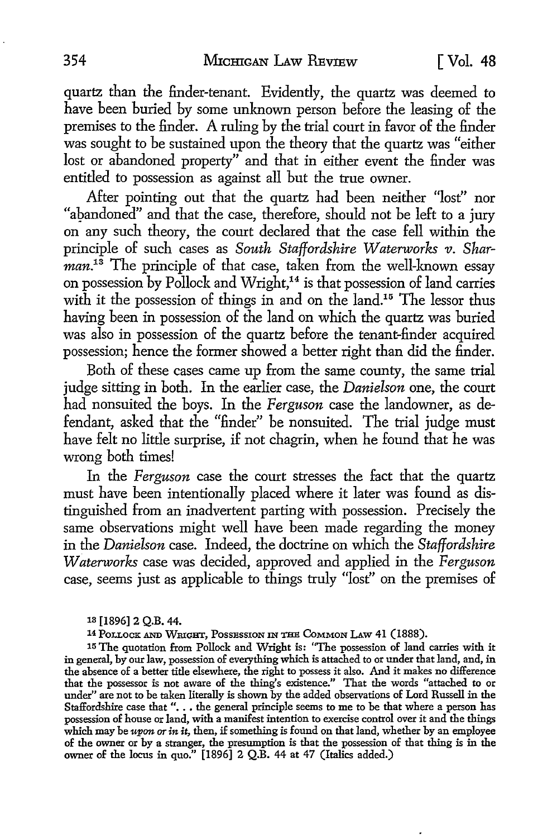quartz than the finder-tenant. Evidently, the quartz was deemed to have been buried by some unknown person before the leasing of the premises to the finder. A ruling by the trial court in favor of the finder was sought to be sustained upon the theory that the quartz was "either lost or abandoned property" and that in either event the finder was entitled to possession as against all but the true owner.

After pointing out that the quartz had been neither "lost" nor "abandoned" and that the case, therefore, should not be left to a jury on any such theory, the court declared that the case fell within the principle of such cases as *South Staffordshire Waterworks v. Sharman.13* The principle of that case, taken from the well-known essay on possession by Pollock and Wright,<sup>14</sup> is that possession of land carries with it the possession of things in and on the land.<sup>15</sup> The lessor thus having been in possession of the land on which the quartz was buried was also in possession of the quartz before the tenant-finder acquired possession; hence the former showed a better right than did the finder.

Both of these cases came up from the same county, the same trial judge sitting in both. In the earlier case, the *Danielson* one, the court had nonsuited the boys. In the *Ferguson* case the landowner, as defendant, asked that the "finder" be nonsuited. The trial judge must have felt no little surprise, if not chagrin, when he found that he was wrong both times!

In the *Ferguson* case the court stresses the fact that the quartz must have been intentionally placed where it later was found as distinguished from an inadvertent parting with possession. Precisely the same observations might well have been made regarding the money in the *Danielson* case. Indeed, the doctrine on which the *Staffordshire Waterworks* case was decided, approved and applied in the *Ferguson*  case, seems just as applicable to things truly "lost" on the premises of

1a [1896] 2 Q.B. 44.

14 POLLOCK AND WRIGHT, POSSESSION 1N THE CoMMON I.Aw 41 (1888).

15 The quotation from Pollock and Wright is: "The possession of land carries with it in general, by our law, possession of everything which is attached to or under that land, and, in the absence of a better title elsewhere, the right to possess it also. And it makes no difference that the possessor is not aware of the thing's existence." That the words "attached to or under" are not to be taken literally is shown by the added observations of Lord Russell in the Staffordshire case that "... the general principle seems to me to be that where a person has possession of house or land, with a manifest intention to exercise control over it and the things which may be upon or in *it,* then, if something is found on that land, whether by an employee of the owner or by a stranger, the presumption is that the possession of that thing is in the owner of the locus in quo." [1896] 2 Q.B. 44 at 47 (Italics added.)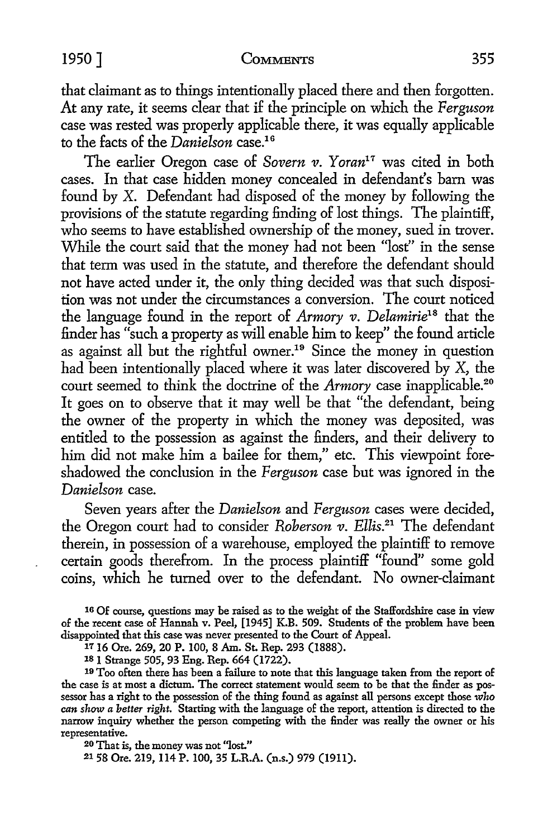that claimant as to things intentionally placed there and then forgotten. At any rate, it seems clear that if the principle on which the *Ferguson*  case was rested was properly applicable there, it was equally applicable to the facts of the *Danielson* case.<sup>16</sup>

The earlier Oregon case of *Sovern v. Yoran<sup>17</sup>* was cited in both cases. In that case hidden money concealed in defendant's barn was found by X. Defendant had disposed of the money by following the provisions of the statute regarding finding of lost things. The plaintiff, who seems to have established ownership of the money, sued in trover. While the court said that the money had not been "lost" in the sense that term was used in the statute, and therefore the defendant should not have acted under it, the only thing decided was that such disposition was not under the circumstances a conversion. The court noticed the language found in the report of *Armory v. Delamirie18* that the finder has "such a property as will enable him to keep" the found article as against all but the rightful owner.<sup>19</sup> Since the money in question had been intentionally placed where it was later discovered by X, the court seemed to think the doctrine of the *Armory* case inapplicable.<sup>20</sup> It goes on to observe that it may well be that "the defendant, being the owner of the property in which the money was deposited, was entitled to the possession as against the finders, and their delivery to him did not make him a bailee for them," etc. This viewpoint foreshadowed the conclusion in the *Ferguson* case but was ignored in the *Danielson* case.

Seven years after the *Danielson* and *Ferguson* cases were decided, the Oregon court had to consider *Roberson v. Ellis.21* The defendant therein, in possession of a warehouse, employed the plaintiff to remove certain goods therefrom. In the process plaintiff "found" some gold coins, which he turned over to the defendant. No owner-claimant

16 Of course, questions may be raised as to the weight of the Staffordshire case in view of the recent case of Hannah v. Peel, [1945] K.B. 509. Students of the problem have been disappointed that this case was never presented to the Court of Appeal.

1116 Ore. 269, 20 P. 100, 8 Am. St. Rep. 293 (1888).

181 Strange 505, 93 Eng. Rep. 664 (1722).

19 Too often there has been a failure to note that this language taken from the report of the case is at most a dictum. The correct statement would seem to be that the finder as possessor has a right to the possession of the thing found as against all persons except those *who can show a better right.* Starting with the language of the report, attention is directed to the narrow inquiry whether the person competing with the finder was really the owner or his representative.

20 That is, the money was not "lost."

21 58 Ore. 219, 114 P. 100, 35 L.R.A. (n.s.) 979 (1911).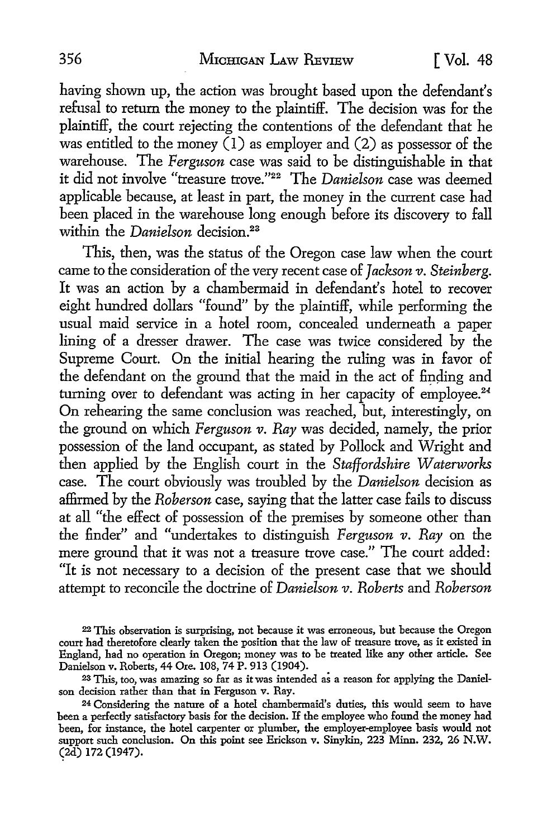#### 356 MICHIGAN LAW REVIEW [ Vol. 48

having shown up, the action was brought based upon the defendant's refusal to return the money to the plaintiff. The decision was for the plaintiff, the court rejecting the contentions of the defendant that he was entitled to the money (1) as employer and (2) as possessor of the warehouse. The *Ferguson* case was said to be distinguishable in that it did not involve "treasure trove."<sup>22</sup>The *Danielson* case was deemed applicable because, at least in part, the money in the current case had been placed in the warehouse long enough before its discovery to fall within the *Danielson* decision.<sup>23</sup>

This, then, was the status of the Oregon case law when the court came to the consideration of the very recent case of *Jackson v. Steinberg.*  It was an action by a chambermaid in defendant's hotel to recover eight hundred dollars "found" by the plaintiff, while performing the usual maid service in a hotel room, concealed underneath a paper lining of a dresser drawer. The case was twice considered by the Supreme Court. On the initial hearing the ruling was in favor of the defendant on the ground that the maid in the act of finding and turning over to defendant was acting in her capacity of employee.<sup>24</sup> On rehearing the same conclusion was reached, but, interestingly, on the ground on which *Ferguson v. Ray* was decided, namely, the prior possession of the land occupant, as stated by Pollock and Wright and then applied by the English court in the *Staffordshire Waterworks*  case. The court obviously was troubled by the *Danielson* decision as affirmed by the *Roberson* case, saying that the latter case fails to discuss at all "the effect of possession of the premises by someone other than the finder" and "undertakes to distinguish *Ferguson v. Ray* on the mere ground that it was not a treasure trove case." The court added: "It is not necessary to a decision of the present case that we should attempt to reconcile the doctrine of *Danielson v. Roberts* and *Roberson* 

<sup>22</sup> This observation is surprising, not because it was erroneous, but because the Oregon court had theretofore clearly taken the position that the law of treasure trove, as it existed in England, had no operation in Oregon; money was to be treated like any other article. See Danielson v. Roberts, 44 Ore. 108, 74 P. 913 (1904).

<sup>23</sup> This, too, was amazing so far as it was intended as a reason for applying the Danielson decision rather than that in Ferguson v. Ray.

<sup>24</sup> Considering the nature of a hotel chambermaid's duties, this would seem to have been a perfectly satisfactory basis for the decision. If the employee who found the money had been, for instance, the hotel carpenter or plumber, the employer-employee basis would not support such conclusion. On this point see Erickson v. Sinykin, 223 Minn. 232, 26 N.W.  $(2d)$  172 (1947).